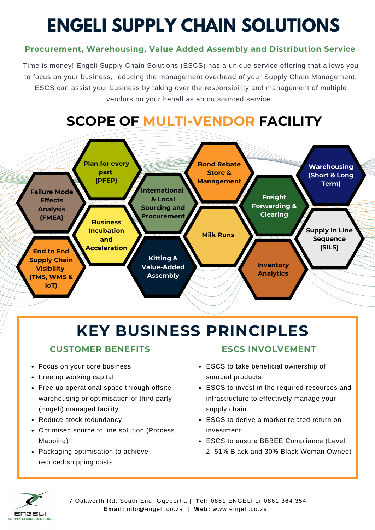# **ENGELI SUPPLY CHAIN SOLUTIONS**

### **Procurement, Warehousing, Value Added Assembly and Distribution Service**

Time is money! Engeli Supply Chain Solutions (ESCS) has a unique service offering that allows you to focus on your business, reducing the management overhead of your Supply Chain Management. ESCS can assist your business by taking over the responsibility and management of multiple vendors on your behalf as an outsourced service.

### **SCOPE OF MULTI-VENDOR FACILITY**



### **KEY BUSINESS PRINCIPLES**

#### **CUSTOMER BENEFITS ESCS INVOLVEMENT**

- Focus on your core business
- Free up working capital
- Free up operational space through offsite warehousing or optimisation of third party (Engeli) managed facility
- Reduce stock redundancy
- Optimised source to line solution (Process Mapping)
- Packaging optimisation to achieve reduced shipping costs

- ESCS to take beneficial ownership of sourced products
- ESCS to invest in the required resources and infrastructure to effectively manage your supply chain
- ESCS to derive a market related return on investment
- ESCS to ensure BBBEE Compliance (Level 2, 51% Black and 30% Black Woman Owned)



7 Oakworth Rd, South End, Gqeberha | **Tel:** 0861 ENGELI or 0861 364 354 **Email:** info@engeli.co.za | **Web:** www.engeli.co.za